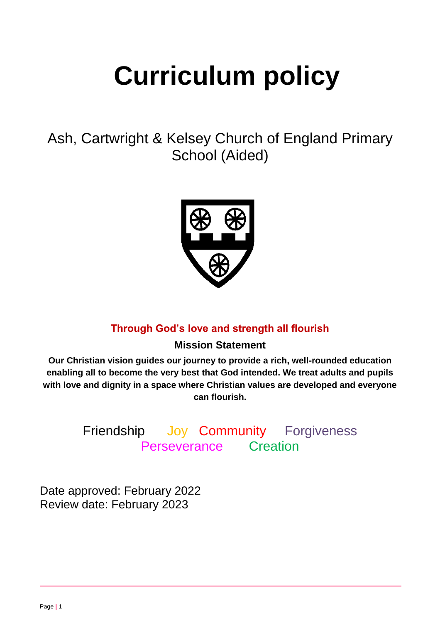# **Curriculum policy**

Ash, Cartwright & Kelsey Church of England Primary School (Aided)



# **Through God's love and strength all flourish**

# **Mission Statement**

**Our Christian vision guides our journey to provide a rich, well-rounded education enabling all to become the very best that God intended. We treat adults and pupils with love and dignity in a space where Christian values are developed and everyone can flourish.**

> Friendship Joy Community Forgiveness Perseverance Creation

Date approved: February 2022 Review date: February 2023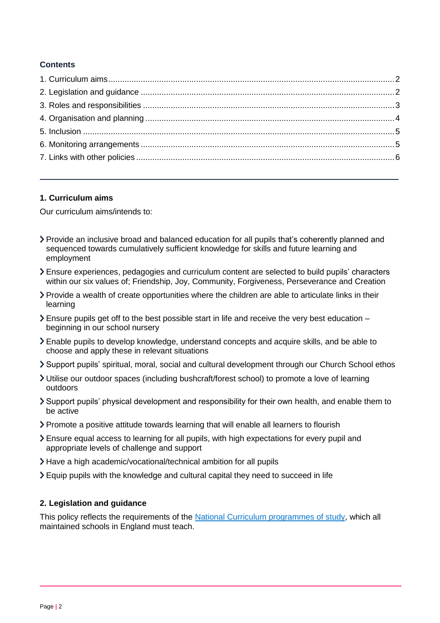## **Contents**

#### <span id="page-1-0"></span>**1. Curriculum aims**

Our curriculum aims/intends to:

- Provide an inclusive broad and balanced education for all pupils that's coherently planned and sequenced towards cumulatively sufficient knowledge for skills and future learning and employment
- Ensure experiences, pedagogies and curriculum content are selected to build pupils' characters within our six values of; Friendship, Joy, Community, Forgiveness, Perseverance and Creation
- Provide a wealth of create opportunities where the children are able to articulate links in their learning
- $\blacktriangleright$  Ensure pupils get off to the best possible start in life and receive the very best education  $$ beginning in our school nursery
- Enable pupils to develop knowledge, understand concepts and acquire skills, and be able to choose and apply these in relevant situations
- Support pupils' spiritual, moral, social and cultural development through our Church School ethos
- Utilise our outdoor spaces (including bushcraft/forest school) to promote a love of learning outdoors
- Support pupils' physical development and responsibility for their own health, and enable them to be active
- Promote a positive attitude towards learning that will enable all learners to flourish
- Ensure equal access to learning for all pupils, with high expectations for every pupil and appropriate levels of challenge and support
- Have a high academic/vocational/technical ambition for all pupils
- $\geq$  Equip pupils with the knowledge and cultural capital they need to succeed in life

## <span id="page-1-1"></span>**2. Legislation and guidance**

This policy reflects the requirements of the [National Curriculum programmes of study,](https://www.gov.uk/government/collections/national-curriculum) which all maintained schools in England must teach.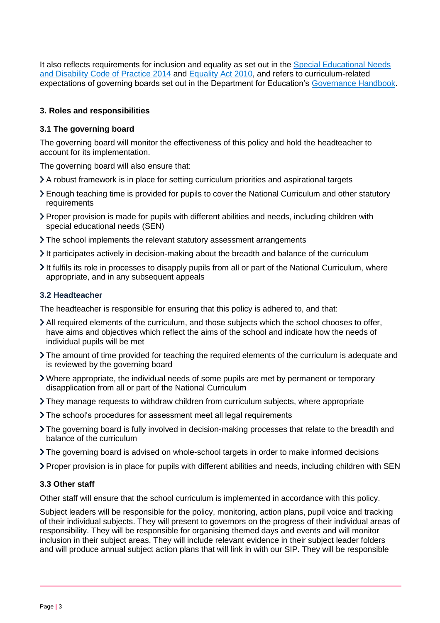It also reflects requirements for inclusion and equality as set out in the [Special Educational Needs](https://www.gov.uk/government/publications/send-code-of-practice-0-to-25)  [and Disability Code of Practice 2014](https://www.gov.uk/government/publications/send-code-of-practice-0-to-25) and [Equality Act 2010,](http://www.legislation.gov.uk/ukpga/2010/15/part/6/chapter/1) and refers to curriculum-related expectations of governing boards set out in the Department for Education's [Governance Handbook.](https://www.gov.uk/government/publications/governance-handbook)

#### <span id="page-2-0"></span>**3. Roles and responsibilities**

#### **3.1 The governing board**

The governing board will monitor the effectiveness of this policy and hold the headteacher to account for its implementation.

The governing board will also ensure that:

- A robust framework is in place for setting curriculum priorities and aspirational targets
- Enough teaching time is provided for pupils to cover the National Curriculum and other statutory requirements
- Proper provision is made for pupils with different abilities and needs, including children with special educational needs (SEN)
- The school implements the relevant statutory assessment arrangements
- It participates actively in decision-making about the breadth and balance of the curriculum
- $\geq$  It fulfils its role in processes to disapply pupils from all or part of the National Curriculum, where appropriate, and in any subsequent appeals

#### **3.2 Headteacher**

The headteacher is responsible for ensuring that this policy is adhered to, and that:

- All required elements of the curriculum, and those subjects which the school chooses to offer, have aims and objectives which reflect the aims of the school and indicate how the needs of individual pupils will be met
- The amount of time provided for teaching the required elements of the curriculum is adequate and is reviewed by the governing board
- Where appropriate, the individual needs of some pupils are met by permanent or temporary disapplication from all or part of the National Curriculum
- They manage requests to withdraw children from curriculum subjects, where appropriate
- The school's procedures for assessment meet all legal requirements
- The governing board is fully involved in decision-making processes that relate to the breadth and balance of the curriculum
- The governing board is advised on whole-school targets in order to make informed decisions
- Proper provision is in place for pupils with different abilities and needs, including children with SEN

#### **3.3 Other staff**

Other staff will ensure that the school curriculum is implemented in accordance with this policy.

Subject leaders will be responsible for the policy, monitoring, action plans, pupil voice and tracking of their individual subjects. They will present to governors on the progress of their individual areas of responsibility. They will be responsible for organising themed days and events and will monitor inclusion in their subject areas. They will include relevant evidence in their subject leader folders and will produce annual subject action plans that will link in with our SIP. They will be responsible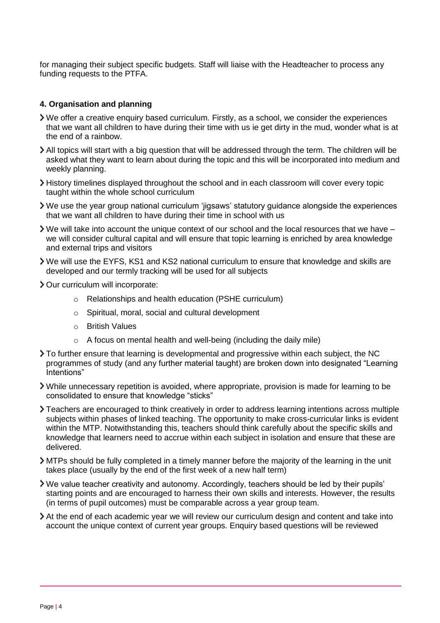for managing their subject specific budgets. Staff will liaise with the Headteacher to process any funding requests to the PTFA.

#### <span id="page-3-0"></span>**4. Organisation and planning**

- We offer a creative enquiry based curriculum. Firstly, as a school, we consider the experiences that we want all children to have during their time with us ie get dirty in the mud, wonder what is at the end of a rainbow.
- All topics will start with a big question that will be addressed through the term. The children will be asked what they want to learn about during the topic and this will be incorporated into medium and weekly planning.
- History timelines displayed throughout the school and in each classroom will cover every topic taught within the whole school curriculum
- We use the year group national curriculum 'jigsaws' statutory guidance alongside the experiences that we want all children to have during their time in school with us
- We will take into account the unique context of our school and the local resources that we have we will consider cultural capital and will ensure that topic learning is enriched by area knowledge and external trips and visitors
- We will use the EYFS, KS1 and KS2 national curriculum to ensure that knowledge and skills are developed and our termly tracking will be used for all subjects
- > Our curriculum will incorporate:
	- o Relationships and health education (PSHE curriculum)
	- o Spiritual, moral, social and cultural development
	- o British Values
	- $\circ$  A focus on mental health and well-being (including the daily mile)
- To further ensure that learning is developmental and progressive within each subject, the NC programmes of study (and any further material taught) are broken down into designated "Learning Intentions"
- While unnecessary repetition is avoided, where appropriate, provision is made for learning to be consolidated to ensure that knowledge "sticks"
- Teachers are encouraged to think creatively in order to address learning intentions across multiple subjects within phases of linked teaching. The opportunity to make cross-curricular links is evident within the MTP. Notwithstanding this, teachers should think carefully about the specific skills and knowledge that learners need to accrue within each subject in isolation and ensure that these are delivered.
- MTPs should be fully completed in a timely manner before the majority of the learning in the unit takes place (usually by the end of the first week of a new half term)
- We value teacher creativity and autonomy. Accordingly, teachers should be led by their pupils' starting points and are encouraged to harness their own skills and interests. However, the results (in terms of pupil outcomes) must be comparable across a year group team.
- At the end of each academic year we will review our curriculum design and content and take into account the unique context of current year groups. Enquiry based questions will be reviewed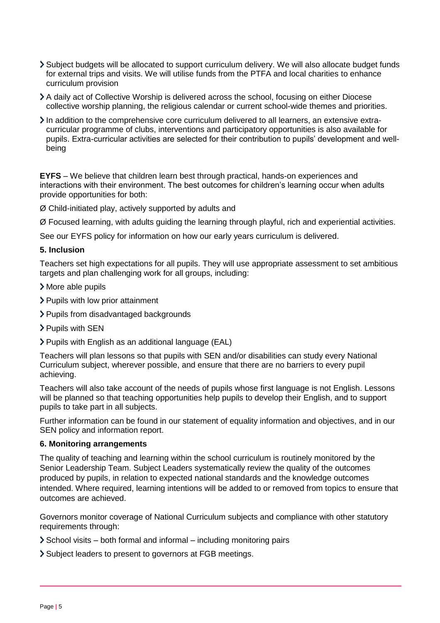- Subject budgets will be allocated to support curriculum delivery. We will also allocate budget funds for external trips and visits. We will utilise funds from the PTFA and local charities to enhance curriculum provision
- A daily act of Collective Worship is delivered across the school, focusing on either Diocese collective worship planning, the religious calendar or current school-wide themes and priorities.
- $\sum$  In addition to the comprehensive core curriculum delivered to all learners, an extensive extracurricular programme of clubs, interventions and participatory opportunities is also available for pupils. Extra-curricular activities are selected for their contribution to pupils' development and wellbeing

**EYFS** – We believe that children learn best through practical, hands-on experiences and interactions with their environment. The best outcomes for children's learning occur when adults provide opportunities for both:

Ø Child-initiated play, actively supported by adults and

Ø Focused learning, with adults guiding the learning through playful, rich and experiential activities.

See our EYFS policy for information on how our early years curriculum is delivered.

#### <span id="page-4-0"></span>**5. Inclusion**

Teachers set high expectations for all pupils. They will use appropriate assessment to set ambitious targets and plan challenging work for all groups, including:

- More able pupils
- > Pupils with low prior attainment
- Pupils from disadvantaged backgrounds
- > Pupils with SEN
- Pupils with English as an additional language (EAL)

Teachers will plan lessons so that pupils with SEN and/or disabilities can study every National Curriculum subject, wherever possible, and ensure that there are no barriers to every pupil achieving.

Teachers will also take account of the needs of pupils whose first language is not English. Lessons will be planned so that teaching opportunities help pupils to develop their English, and to support pupils to take part in all subjects.

Further information can be found in our statement of equality information and objectives, and in our SEN policy and information report.

#### <span id="page-4-1"></span>**6. Monitoring arrangements**

The quality of teaching and learning within the school curriculum is routinely monitored by the Senior Leadership Team. Subject Leaders systematically review the quality of the outcomes produced by pupils, in relation to expected national standards and the knowledge outcomes intended. Where required, learning intentions will be added to or removed from topics to ensure that outcomes are achieved.

Governors monitor coverage of National Curriculum subjects and compliance with other statutory requirements through:

- $\geq$  School visits both formal and informal including monitoring pairs
- Subject leaders to present to governors at FGB meetings.